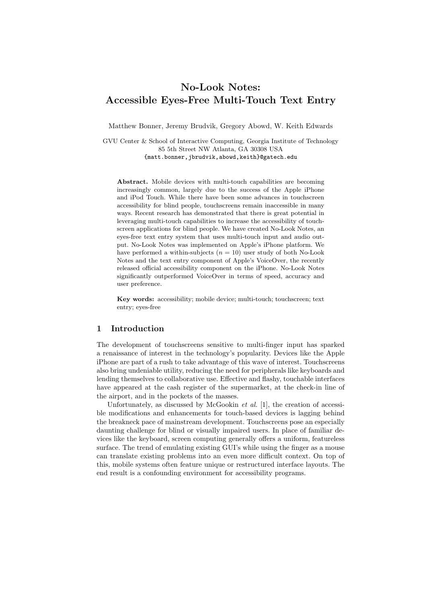Matthew Bonner, Jeremy Brudvik, Gregory Abowd, W. Keith Edwards

GVU Center & School of Interactive Computing, Georgia Institute of Technology 85 5th Street NW Atlanta, GA 30308 USA {matt.bonner,jbrudvik,abowd,keith}@gatech.edu

Abstract. Mobile devices with multi-touch capabilities are becoming increasingly common, largely due to the success of the Apple iPhone and iPod Touch. While there have been some advances in touchscreen accessibility for blind people, touchscreens remain inaccessible in many ways. Recent research has demonstrated that there is great potential in leveraging multi-touch capabilities to increase the accessibility of touchscreen applications for blind people. We have created No-Look Notes, an eyes-free text entry system that uses multi-touch input and audio output. No-Look Notes was implemented on Apple's iPhone platform. We have performed a within-subjects  $(n = 10)$  user study of both No-Look Notes and the text entry component of Apple's VoiceOver, the recently released official accessibility component on the iPhone. No-Look Notes significantly outperformed VoiceOver in terms of speed, accuracy and user preference.

Key words: accessibility; mobile device; multi-touch; touchscreen; text entry; eyes-free

### 1 Introduction

The development of touchscreens sensitive to multi-finger input has sparked a renaissance of interest in the technology's popularity. Devices like the Apple iPhone are part of a rush to take advantage of this wave of interest. Touchscreens also bring undeniable utility, reducing the need for peripherals like keyboards and lending themselves to collaborative use. Effective and flashy, touchable interfaces have appeared at the cash register of the supermarket, at the check-in line of the airport, and in the pockets of the masses.

Unfortunately, as discussed by McGookin  $et \ al.$  [1], the creation of accessible modifications and enhancements for touch-based devices is lagging behind the breakneck pace of mainstream development. Touchscreens pose an especially daunting challenge for blind or visually impaired users. In place of familiar devices like the keyboard, screen computing generally offers a uniform, featureless surface. The trend of emulating existing GUI's while using the finger as a mouse can translate existing problems into an even more difficult context. On top of this, mobile systems often feature unique or restructured interface layouts. The end result is a confounding environment for accessibility programs.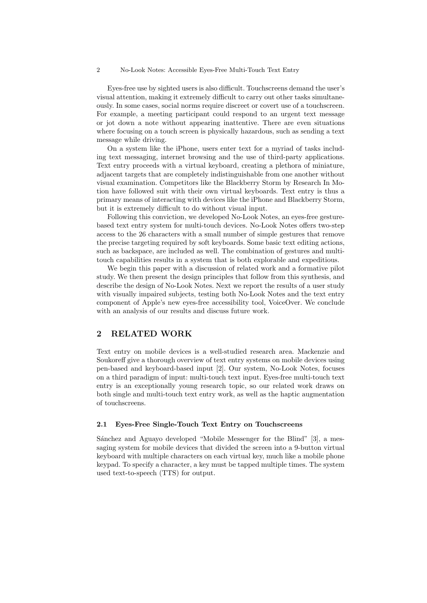Eyes-free use by sighted users is also difficult. Touchscreens demand the user's visual attention, making it extremely difficult to carry out other tasks simultaneously. In some cases, social norms require discreet or covert use of a touchscreen. For example, a meeting participant could respond to an urgent text message or jot down a note without appearing inattentive. There are even situations where focusing on a touch screen is physically hazardous, such as sending a text message while driving.

On a system like the iPhone, users enter text for a myriad of tasks including text messaging, internet browsing and the use of third-party applications. Text entry proceeds with a virtual keyboard, creating a plethora of miniature, adjacent targets that are completely indistinguishable from one another without visual examination. Competitors like the Blackberry Storm by Research In Motion have followed suit with their own virtual keyboards. Text entry is thus a primary means of interacting with devices like the iPhone and Blackberry Storm, but it is extremely difficult to do without visual input.

Following this conviction, we developed No-Look Notes, an eyes-free gesturebased text entry system for multi-touch devices. No-Look Notes offers two-step access to the 26 characters with a small number of simple gestures that remove the precise targeting required by soft keyboards. Some basic text editing actions, such as backspace, are included as well. The combination of gestures and multitouch capabilities results in a system that is both explorable and expeditious.

We begin this paper with a discussion of related work and a formative pilot study. We then present the design principles that follow from this synthesis, and describe the design of No-Look Notes. Next we report the results of a user study with visually impaired subjects, testing both No-Look Notes and the text entry component of Apple's new eyes-free accessibility tool, VoiceOver. We conclude with an analysis of our results and discuss future work.

# 2 RELATED WORK

Text entry on mobile devices is a well-studied research area. Mackenzie and Soukoreff give a thorough overview of text entry systems on mobile devices using pen-based and keyboard-based input [2]. Our system, No-Look Notes, focuses on a third paradigm of input: multi-touch text input. Eyes-free multi-touch text entry is an exceptionally young research topic, so our related work draws on both single and multi-touch text entry work, as well as the haptic augmentation of touchscreens.

#### 2.1 Eyes-Free Single-Touch Text Entry on Touchscreens

Sánchez and Aguayo developed "Mobile Messenger for the Blind" [3], a messaging system for mobile devices that divided the screen into a 9-button virtual keyboard with multiple characters on each virtual key, much like a mobile phone keypad. To specify a character, a key must be tapped multiple times. The system used text-to-speech (TTS) for output.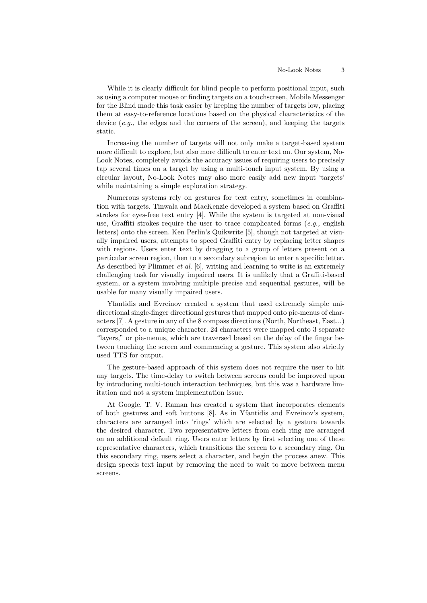While it is clearly difficult for blind people to perform positional input, such as using a computer mouse or finding targets on a touchscreen, Mobile Messenger for the Blind made this task easier by keeping the number of targets low, placing them at easy-to-reference locations based on the physical characteristics of the device  $(e.g.,\)$  the edges and the corners of the screen), and keeping the targets static.

Increasing the number of targets will not only make a target-based system more difficult to explore, but also more difficult to enter text on. Our system, No-Look Notes, completely avoids the accuracy issues of requiring users to precisely tap several times on a target by using a multi-touch input system. By using a circular layout, No-Look Notes may also more easily add new input 'targets' while maintaining a simple exploration strategy.

Numerous systems rely on gestures for text entry, sometimes in combination with targets. Tinwala and MacKenzie developed a system based on Graffiti strokes for eyes-free text entry [4]. While the system is targeted at non-visual use, Graffiti strokes require the user to trace complicated forms (e.g., english letters) onto the screen. Ken Perlin's Quikwrite [5], though not targeted at visually impaired users, attempts to speed Graffiti entry by replacing letter shapes with regions. Users enter text by dragging to a group of letters present on a particular screen region, then to a secondary subregion to enter a specific letter. As described by Plimmer  $et \ al. \ [6]$ , writing and learning to write is an extremely challenging task for visually impaired users. It is unlikely that a Graffiti-based system, or a system involving multiple precise and sequential gestures, will be usable for many visually impaired users.

Yfantidis and Evreinov created a system that used extremely simple unidirectional single-finger directional gestures that mapped onto pie-menus of characters [7]. A gesture in any of the 8 compass directions (North, Northeast, East...) corresponded to a unique character. 24 characters were mapped onto 3 separate "layers," or pie-menus, which are traversed based on the delay of the finger between touching the screen and commencing a gesture. This system also strictly used TTS for output.

The gesture-based approach of this system does not require the user to hit any targets. The time-delay to switch between screens could be improved upon by introducing multi-touch interaction techniques, but this was a hardware limitation and not a system implementation issue.

At Google, T. V. Raman has created a system that incorporates elements of both gestures and soft buttons [8]. As in Yfantidis and Evreinov's system, characters are arranged into 'rings' which are selected by a gesture towards the desired character. Two representative letters from each ring are arranged on an additional default ring. Users enter letters by first selecting one of these representative characters, which transitions the screen to a secondary ring. On this secondary ring, users select a character, and begin the process anew. This design speeds text input by removing the need to wait to move between menu screens.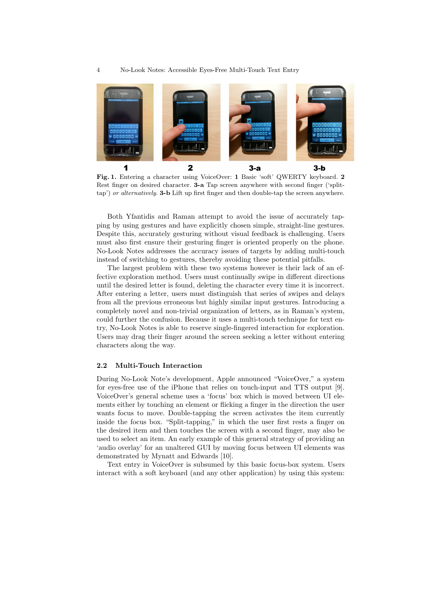

Fig. 1. Entering a character using VoiceOver: 1 Basic 'soft' QWERTY keyboard. 2 Rest finger on desired character. 3-a Tap screen anywhere with second finger ('split- $\{\text{tan}\}\$  or alternatively. **3-b** Lift up first finger and then double-tap the screen anywhere.

Both Yfantidis and Raman attempt to avoid the issue of accurately tapping by using gestures and have explicitly chosen simple, straight-line gestures. Despite this, accurately gesturing without visual feedback is challenging. Users must also first ensure their gesturing finger is oriented properly on the phone. No-Look Notes addresses the accuracy issues of targets by adding multi-touch instead of switching to gestures, thereby avoiding these potential pitfalls.

The largest problem with these two systems however is their lack of an effective exploration method. Users must continually swipe in different directions until the desired letter is found, deleting the character every time it is incorrect. After entering a letter, users must distinguish that series of swipes and delays from all the previous erroneous but highly similar input gestures. Introducing a completely novel and non-trivial organization of letters, as in Raman's system, could further the confusion. Because it uses a multi-touch technique for text entry, No-Look Notes is able to reserve single-fingered interaction for exploration. Users may drag their finger around the screen seeking a letter without entering characters along the way.

#### 2.2 Multi-Touch Interaction

During No-Look Note's development, Apple announced "VoiceOver," a system for eyes-free use of the iPhone that relies on touch-input and TTS output [9]. VoiceOver's general scheme uses a 'focus' box which is moved between UI elements either by touching an element or flicking a finger in the direction the user wants focus to move. Double-tapping the screen activates the item currently inside the focus box. "Split-tapping," in which the user first rests a finger on the desired item and then touches the screen with a second finger, may also be used to select an item. An early example of this general strategy of providing an 'audio overlay' for an unaltered GUI by moving focus between UI elements was demonstrated by Mynatt and Edwards [10].

Text entry in VoiceOver is subsumed by this basic focus-box system. Users interact with a soft keyboard (and any other application) by using this system: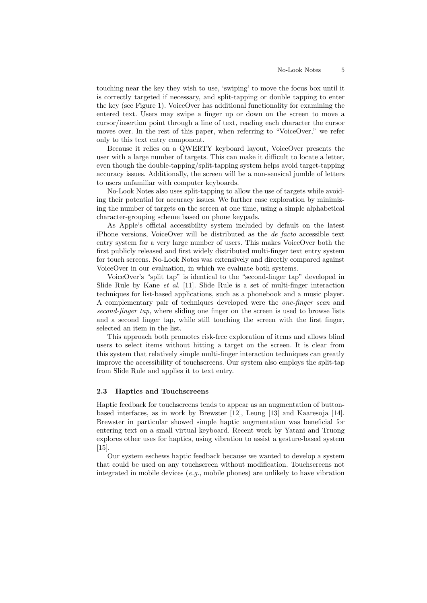touching near the key they wish to use, 'swiping' to move the focus box until it is correctly targeted if necessary, and split-tapping or double tapping to enter the key (see Figure 1). VoiceOver has additional functionality for examining the entered text. Users may swipe a finger up or down on the screen to move a cursor/insertion point through a line of text, reading each character the cursor moves over. In the rest of this paper, when referring to "VoiceOver," we refer only to this text entry component.

Because it relies on a QWERTY keyboard layout, VoiceOver presents the user with a large number of targets. This can make it difficult to locate a letter, even though the double-tapping/split-tapping system helps avoid target-tapping accuracy issues. Additionally, the screen will be a non-sensical jumble of letters to users unfamiliar with computer keyboards.

No-Look Notes also uses split-tapping to allow the use of targets while avoiding their potential for accuracy issues. We further ease exploration by minimizing the number of targets on the screen at one time, using a simple alphabetical character-grouping scheme based on phone keypads.

As Apple's official accessibility system included by default on the latest iPhone versions, VoiceOver will be distributed as the de facto accessible text entry system for a very large number of users. This makes VoiceOver both the first publicly released and first widely distributed multi-finger text entry system for touch screens. No-Look Notes was extensively and directly compared against VoiceOver in our evaluation, in which we evaluate both systems.

VoiceOver's "split tap" is identical to the "second-finger tap" developed in Slide Rule by Kane et al. [11]. Slide Rule is a set of multi-finger interaction techniques for list-based applications, such as a phonebook and a music player. A complementary pair of techniques developed were the one-finger scan and second-finger tap, where sliding one finger on the screen is used to browse lists and a second finger tap, while still touching the screen with the first finger, selected an item in the list.

This approach both promotes risk-free exploration of items and allows blind users to select items without hitting a target on the screen. It is clear from this system that relatively simple multi-finger interaction techniques can greatly improve the accessibility of touchscreens. Our system also employs the split-tap from Slide Rule and applies it to text entry.

#### 2.3 Haptics and Touchscreens

Haptic feedback for touchscreens tends to appear as an augmentation of buttonbased interfaces, as in work by Brewster [12], Leung [13] and Kaaresoja [14]. Brewster in particular showed simple haptic augmentation was beneficial for entering text on a small virtual keyboard. Recent work by Yatani and Truong explores other uses for haptics, using vibration to assist a gesture-based system [15].

Our system eschews haptic feedback because we wanted to develop a system that could be used on any touchscreen without modification. Touchscreens not integrated in mobile devices  $(e.g., \text{ mobile phones})$  are unlikely to have vibration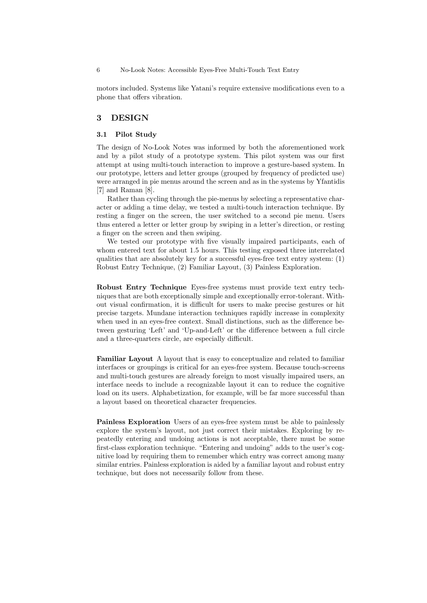motors included. Systems like Yatani's require extensive modifications even to a phone that offers vibration.

### 3 DESIGN

#### 3.1 Pilot Study

The design of No-Look Notes was informed by both the aforementioned work and by a pilot study of a prototype system. This pilot system was our first attempt at using multi-touch interaction to improve a gesture-based system. In our prototype, letters and letter groups (grouped by frequency of predicted use) were arranged in pie menus around the screen and as in the systems by Yfantidis [7] and Raman [8].

Rather than cycling through the pie-menus by selecting a representative character or adding a time delay, we tested a multi-touch interaction technique. By resting a finger on the screen, the user switched to a second pie menu. Users thus entered a letter or letter group by swiping in a letter's direction, or resting a finger on the screen and then swiping.

We tested our prototype with five visually impaired participants, each of whom entered text for about 1.5 hours. This testing exposed three interrelated qualities that are absolutely key for a successful eyes-free text entry system: (1) Robust Entry Technique, (2) Familiar Layout, (3) Painless Exploration.

Robust Entry Technique Eyes-free systems must provide text entry techniques that are both exceptionally simple and exceptionally error-tolerant. Without visual confirmation, it is difficult for users to make precise gestures or hit precise targets. Mundane interaction techniques rapidly increase in complexity when used in an eyes-free context. Small distinctions, such as the difference between gesturing 'Left' and 'Up-and-Left' or the difference between a full circle and a three-quarters circle, are especially difficult.

Familiar Layout A layout that is easy to conceptualize and related to familiar interfaces or groupings is critical for an eyes-free system. Because touch-screens and multi-touch gestures are already foreign to most visually impaired users, an interface needs to include a recognizable layout it can to reduce the cognitive load on its users. Alphabetization, for example, will be far more successful than a layout based on theoretical character frequencies.

Painless Exploration Users of an eyes-free system must be able to painlessly explore the system's layout, not just correct their mistakes. Exploring by repeatedly entering and undoing actions is not acceptable, there must be some first-class exploration technique. "Entering and undoing" adds to the user's cognitive load by requiring them to remember which entry was correct among many similar entries. Painless exploration is aided by a familiar layout and robust entry technique, but does not necessarily follow from these.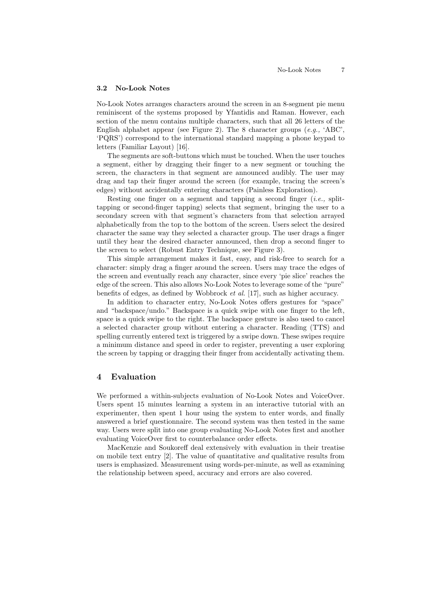#### 3.2 No-Look Notes

No-Look Notes arranges characters around the screen in an 8-segment pie menu reminiscent of the systems proposed by Yfantidis and Raman. However, each section of the menu contains multiple characters, such that all 26 letters of the English alphabet appear (see Figure 2). The 8 character groups  $(e.g., 'ABC', ...)$ 'PQRS') correspond to the international standard mapping a phone keypad to letters (Familiar Layout) [16].

The segments are soft-buttons which must be touched. When the user touches a segment, either by dragging their finger to a new segment or touching the screen, the characters in that segment are announced audibly. The user may drag and tap their finger around the screen (for example, tracing the screen's edges) without accidentally entering characters (Painless Exploration).

Resting one finger on a segment and tapping a second finger  $(i.e.,$  splittapping or second-finger tapping) selects that segment, bringing the user to a secondary screen with that segment's characters from that selection arrayed alphabetically from the top to the bottom of the screen. Users select the desired character the same way they selected a character group. The user drags a finger until they hear the desired character announced, then drop a second finger to the screen to select (Robust Entry Technique, see Figure 3).

This simple arrangement makes it fast, easy, and risk-free to search for a character: simply drag a finger around the screen. Users may trace the edges of the screen and eventually reach any character, since every 'pie slice' reaches the edge of the screen. This also allows No-Look Notes to leverage some of the "pure" benefits of edges, as defined by Wobbrock et al. [17], such as higher accuracy.

In addition to character entry, No-Look Notes offers gestures for "space" and "backspace/undo." Backspace is a quick swipe with one finger to the left, space is a quick swipe to the right. The backspace gesture is also used to cancel a selected character group without entering a character. Reading (TTS) and spelling currently entered text is triggered by a swipe down. These swipes require a minimum distance and speed in order to register, preventing a user exploring the screen by tapping or dragging their finger from accidentally activating them.

### 4 Evaluation

We performed a within-subjects evaluation of No-Look Notes and VoiceOver. Users spent 15 minutes learning a system in an interactive tutorial with an experimenter, then spent 1 hour using the system to enter words, and finally answered a brief questionnaire. The second system was then tested in the same way. Users were split into one group evaluating No-Look Notes first and another evaluating VoiceOver first to counterbalance order effects.

MacKenzie and Soukoreff deal extensively with evaluation in their treatise on mobile text entry  $[2]$ . The value of quantitative *and* qualitative results from users is emphasized. Measurement using words-per-minute, as well as examining the relationship between speed, accuracy and errors are also covered.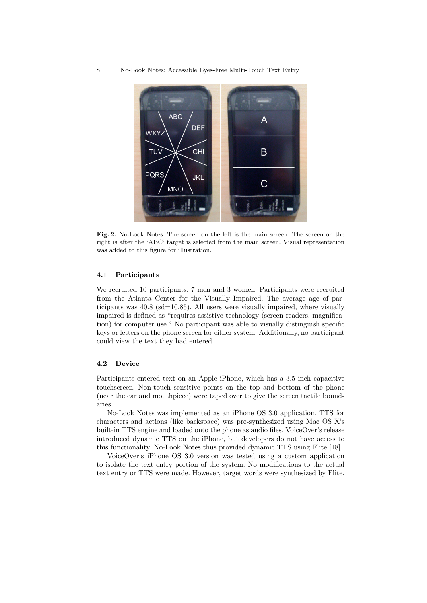

Fig. 2. No-Look Notes. The screen on the left is the main screen. The screen on the right is after the 'ABC' target is selected from the main screen. Visual representation was added to this figure for illustration.

#### 4.1 Participants

We recruited 10 participants, 7 men and 3 women. Participants were recruited from the Atlanta Center for the Visually Impaired. The average age of participants was 40.8 (sd=10.85). All users were visually impaired, where visually impaired is defined as "requires assistive technology (screen readers, magnification) for computer use." No participant was able to visually distinguish specific keys or letters on the phone screen for either system. Additionally, no participant could view the text they had entered.

#### 4.2 Device

Participants entered text on an Apple iPhone, which has a 3.5 inch capacitive touchscreen. Non-touch sensitive points on the top and bottom of the phone (near the ear and mouthpiece) were taped over to give the screen tactile boundaries.

No-Look Notes was implemented as an iPhone OS 3.0 application. TTS for characters and actions (like backspace) was pre-synthesized using Mac OS X's built-in TTS engine and loaded onto the phone as audio files. VoiceOver's release introduced dynamic TTS on the iPhone, but developers do not have access to this functionality. No-Look Notes thus provided dynamic TTS using Flite [18].

VoiceOver's iPhone OS 3.0 version was tested using a custom application to isolate the text entry portion of the system. No modifications to the actual text entry or TTS were made. However, target words were synthesized by Flite.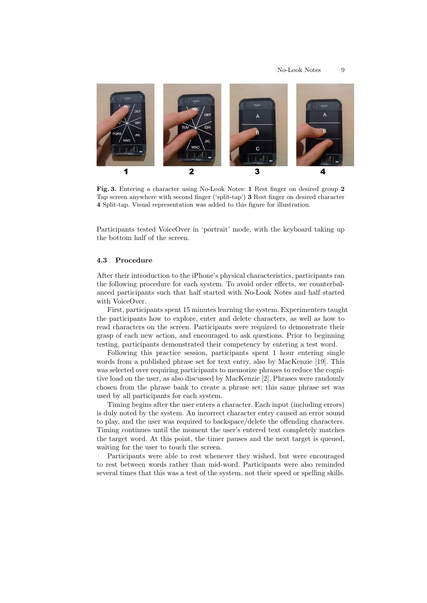

Fig. 3. Entering a character using No-Look Notes: 1 Rest finger on desired group 2 Tap screen anywhere with second finger ('split-tap') 3 Rest finger on desired character 4 Split-tap. Visual representation was added to this figure for illustration.

Participants tested VoiceOver in 'portrait' mode, with the keyboard taking up the bottom half of the screen.

### 4.3 Procedure

After their introduction to the iPhone's physical characteristics, participants ran the following procedure for each system. To avoid order effects, we counterbalanced participants such that half started with No-Look Notes and half started with VoiceOver.

First, participants spent 15 minutes learning the system. Experimenters taught the participants how to explore, enter and delete characters, as well as how to read characters on the screen. Participants were required to demonstrate their grasp of each new action, and encouraged to ask questions. Prior to beginning testing, participants demonstrated their competency by entering a test word.

Following this practice session, participants spent 1 hour entering single words from a published phrase set for text entry, also by MacKenzie [19]. This was selected over requiring participants to memorize phrases to reduce the cognitive load on the user, as also discussed by MacKenzie [2]. Phrases were randomly chosen from the phrase bank to create a phrase set; this same phrase set was used by all participants for each system.

Timing begins after the user enters a character. Each input (including errors) is duly noted by the system. An incorrect character entry caused an error sound to play, and the user was required to backspace/delete the offending characters. Timing continues until the moment the user's entered text completely matches the target word. At this point, the timer pauses and the next target is queued, waiting for the user to touch the screen.

Participants were able to rest whenever they wished, but were encouraged to rest between words rather than mid-word. Participants were also reminded several times that this was a test of the system, not their speed or spelling skills.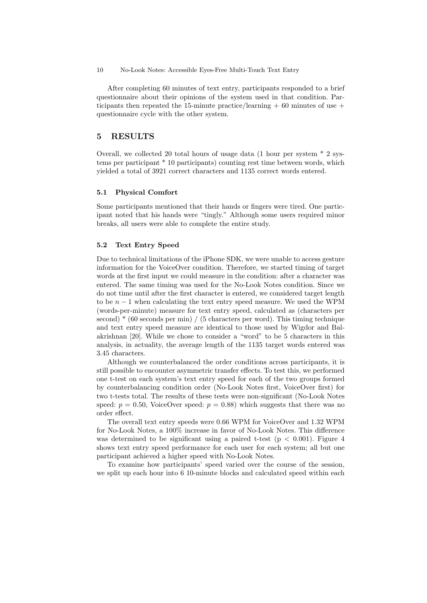After completing 60 minutes of text entry, participants responded to a brief questionnaire about their opinions of the system used in that condition. Participants then repeated the 15-minute practice/learning  $+60$  minutes of use  $+$ questionnaire cycle with the other system.

# 5 RESULTS

Overall, we collected 20 total hours of usage data (1 hour per system \* 2 systems per participant \* 10 participants) counting rest time between words, which yielded a total of 3921 correct characters and 1135 correct words entered.

#### 5.1 Physical Comfort

Some participants mentioned that their hands or fingers were tired. One participant noted that his hands were "tingly." Although some users required minor breaks, all users were able to complete the entire study.

#### 5.2 Text Entry Speed

Due to technical limitations of the iPhone SDK, we were unable to access gesture information for the VoiceOver condition. Therefore, we started timing of target words at the first input we could measure in the condition: after a character was entered. The same timing was used for the No-Look Notes condition. Since we do not time until after the first character is entered, we considered target length to be  $n-1$  when calculating the text entry speed measure. We used the WPM (words-per-minute) measure for text entry speed, calculated as (characters per second)  $*(60$  seconds per min) / (5 characters per word). This timing technique and text entry speed measure are identical to those used by Wigdor and Balakrishnan [20]. While we chose to consider a "word" to be 5 characters in this analysis, in actuality, the average length of the 1135 target words entered was 3.45 characters.

Although we counterbalanced the order conditions across participants, it is still possible to encounter asymmetric transfer effects. To test this, we performed one t-test on each system's text entry speed for each of the two groups formed by counterbalancing condition order (No-Look Notes first, VoiceOver first) for two t-tests total. The results of these tests were non-significant (No-Look Notes speed:  $p = 0.50$ , VoiceOver speed:  $p = 0.88$ ) which suggests that there was no order effect.

The overall text entry speeds were 0.66 WPM for VoiceOver and 1.32 WPM for No-Look Notes, a 100% increase in favor of No-Look Notes. This difference was determined to be significant using a paired t-test ( $p < 0.001$ ). Figure 4 shows text entry speed performance for each user for each system; all but one participant achieved a higher speed with No-Look Notes.

To examine how participants' speed varied over the course of the session, we split up each hour into 6 10-minute blocks and calculated speed within each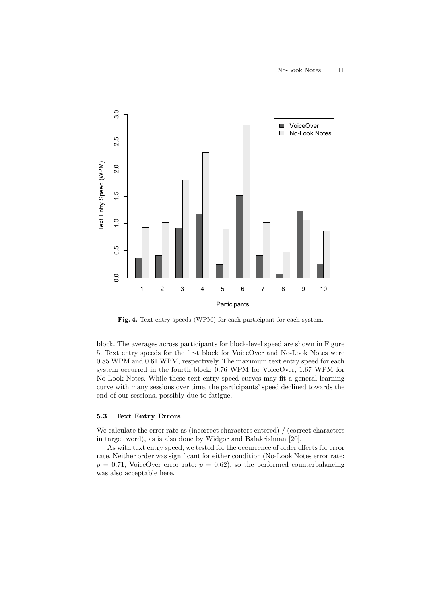

Fig. 4. Text entry speeds (WPM) for each participant for each system.

block. The averages across participants for block-level speed are shown in Figure 5. Text entry speeds for the first block for VoiceOver and No-Look Notes were 0.85 WPM and 0.61 WPM, respectively. The maximum text entry speed for each system occurred in the fourth block: 0.76 WPM for VoiceOver, 1.67 WPM for No-Look Notes. While these text entry speed curves may fit a general learning curve with many sessions over time, the participants' speed declined towards the end of our sessions, possibly due to fatigue.

#### 5.3 Text Entry Errors

We calculate the error rate as (incorrect characters entered) / (correct characters in target word), as is also done by Widgor and Balakrishnan [20].

As with text entry speed, we tested for the occurrence of order effects for error rate. Neither order was significant for either condition (No-Look Notes error rate:  $p = 0.71$ , VoiceOver error rate:  $p = 0.62$ ), so the performed counterbalancing was also acceptable here.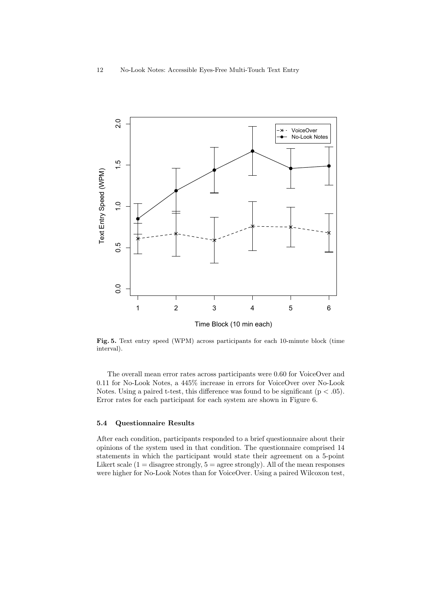

Fig. 5. Text entry speed (WPM) across participants for each 10-minute block (time interval).

The overall mean error rates across participants were 0.60 for VoiceOver and 0.11 for No-Look Notes, a 445% increase in errors for VoiceOver over No-Look Notes. Using a paired t-test, this difference was found to be significant ( $p < .05$ ). Error rates for each participant for each system are shown in Figure 6.

### 5.4 Questionnaire Results

After each condition, participants responded to a brief questionnaire about their opinions of the system used in that condition. The questionnaire comprised 14 statements in which the participant would state their agreement on a 5-point Likert scale  $(1 - \text{disagree strongly}, 5 - \text{agree strongly})$ . All of the mean responses were higher for No-Look Notes than for VoiceOver. Using a paired Wilcoxon test,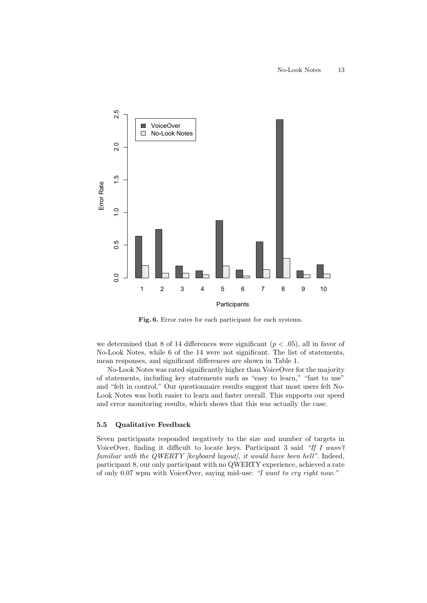

Fig. 6. Error rates for each participant for each systems.

we determined that 8 of 14 differences were significant  $(p < .05)$ , all in favor of No-Look Notes, while 6 of the 14 were not significant. The list of statements, mean responses, and significant differences are shown in Table 1.

No-Look Notes was rated significantly higher than VoiceOver for the majority of statements, including key statements such as "easy to learn," "fast to use" and "felt in control." Our questionnaire results suggest that most users felt No-Look Notes was both easier to learn and faster overall. This supports our speed and error monitoring results, which shows that this was actually the case.

#### 5.5 Qualitative Feedback

Seven participants responded negatively to the size and number of targets in VoiceOver, finding it difficult to locate keys. Participant 3 said "If I wasn't familiar with the QWERTY [keyboard layout], it would have been hell". Indeed, participant 8, our only participant with no QWERTY experience, achieved a rate of only 0.07 wpm with VoiceOver, saying mid-use: "I want to cry right now."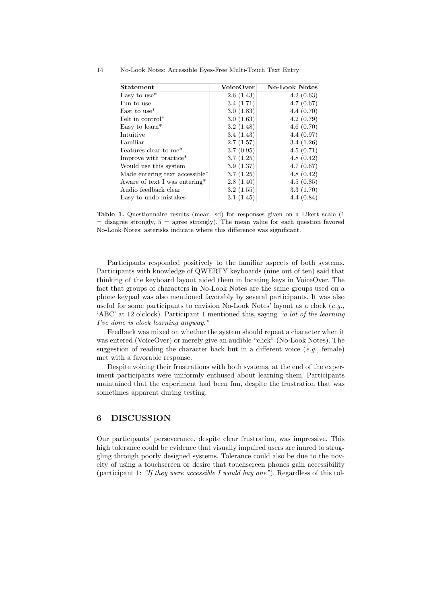| <b>Statement</b>                      | VoiceOver | <b>No-Look Notes</b> |
|---------------------------------------|-----------|----------------------|
| Easy to use <sup><math>*</math></sup> | 2.6(1.43) | 4.2(0.63)            |
| Fun to use                            | 3.4(1.71) | 4.7(0.67)            |
| Fast to use <sup>*</sup>              | 3.0(1.83) | 4.4(0.70)            |
| Felt in control $*$                   | 3.0(1.63) | 4.2(0.79)            |
| Easy to learn <sup>*</sup>            | 3.2(1.48) | 4.6(0.70)            |
| Intuitive                             | 3.4(1.43) | 4.4(0.97)            |
| Familiar                              | 2.7(1.57) | 3.4(1.26)            |
| Features clear to me <sup>*</sup>     | 3.7(0.95) | 4.5(0.71)            |
| Improve with practice <sup>*</sup>    | 3.7(1.25) | 4.8(0.42)            |
| Would use this system                 | 3.9(1.37) | 4.7(0.67)            |
| Made entering text accessible*        | 3.7(1.25) | 4.8(0.42)            |
| Aware of text I was entering*         | 2.8(1.40) | 4.5(0.85)            |
| Audio feedback clear                  | 3.2(1.55) | 3.3(1.70)            |
| Easy to undo mistakes                 | 3.1(1.45) | 4.4(0.84)            |

14 No-Look Notes: Accessible Eyes-Free Multi-Touch Text Entry

Table 1. Questionnaire results (mean, sd) for responses given on a Likert scale (1  $=$  disagree strongly,  $5 =$  agree strongly). The mean value for each question favored No-Look Notes; asterisks indicate where this difference was significant.

Participants responded positively to the familiar aspects of both systems. Participants with knowledge of QWERTY keyboards (nine out of ten) said that thinking of the keyboard layout aided them in locating keys in VoiceOver. The fact that groups of characters in No-Look Notes are the same groups used on a phone keypad was also mentioned favorably by several participants. It was also useful for some participants to envision No-Look Notes' layout as a clock (e.g., 'ABC' at 12 o'clock). Participant 1 mentioned this, saying "a lot of the learning I've done is clock learning anyway."

Feedback was mixed on whether the system should repeat a character when it was entered (VoiceOver) or merely give an audible "click" (No-Look Notes). The suggestion of reading the character back but in a different voice  $(e.g., \text{ female})$ met with a favorable response.

Despite voicing their frustrations with both systems, at the end of the experiment participants were uniformly enthused about learning them. Participants maintained that the experiment had been fun, despite the frustration that was sometimes apparent during testing.

# 6 DISCUSSION

Our participants' perseverance, despite clear frustration, was impressive. This high tolerance could be evidence that visually impaired users are inured to struggling through poorly designed systems. Tolerance could also be due to the novelty of using a touchscreen or desire that touchscreen phones gain accessibility (participant 1: "If they were accessible I would buy one"). Regardless of this tol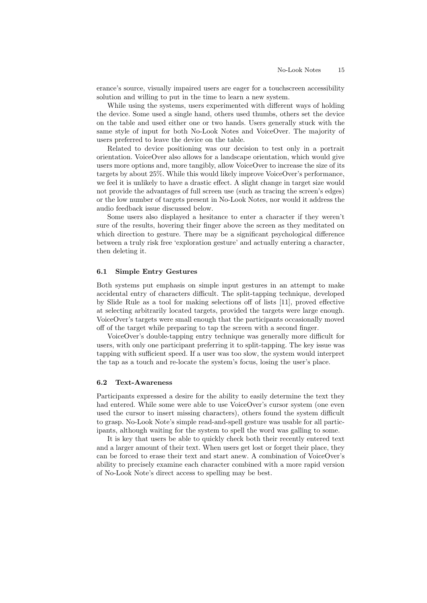erance's source, visually impaired users are eager for a touchscreen accessibility solution and willing to put in the time to learn a new system.

While using the systems, users experimented with different ways of holding the device. Some used a single hand, others used thumbs, others set the device on the table and used either one or two hands. Users generally stuck with the same style of input for both No-Look Notes and VoiceOver. The majority of users preferred to leave the device on the table.

Related to device positioning was our decision to test only in a portrait orientation. VoiceOver also allows for a landscape orientation, which would give users more options and, more tangibly, allow VoiceOver to increase the size of its targets by about 25%. While this would likely improve VoiceOver's performance, we feel it is unlikely to have a drastic effect. A slight change in target size would not provide the advantages of full screen use (such as tracing the screen's edges) or the low number of targets present in No-Look Notes, nor would it address the audio feedback issue discussed below.

Some users also displayed a hesitance to enter a character if they weren't sure of the results, hovering their finger above the screen as they meditated on which direction to gesture. There may be a significant psychological difference between a truly risk free 'exploration gesture' and actually entering a character, then deleting it.

#### 6.1 Simple Entry Gestures

Both systems put emphasis on simple input gestures in an attempt to make accidental entry of characters difficult. The split-tapping technique, developed by Slide Rule as a tool for making selections off of lists [11], proved effective at selecting arbitrarily located targets, provided the targets were large enough. VoiceOver's targets were small enough that the participants occasionally moved off of the target while preparing to tap the screen with a second finger.

VoiceOver's double-tapping entry technique was generally more difficult for users, with only one participant preferring it to split-tapping. The key issue was tapping with sufficient speed. If a user was too slow, the system would interpret the tap as a touch and re-locate the system's focus, losing the user's place.

#### 6.2 Text-Awareness

Participants expressed a desire for the ability to easily determine the text they had entered. While some were able to use VoiceOver's cursor system (one even used the cursor to insert missing characters), others found the system difficult to grasp. No-Look Note's simple read-and-spell gesture was usable for all participants, although waiting for the system to spell the word was galling to some.

It is key that users be able to quickly check both their recently entered text and a larger amount of their text. When users get lost or forget their place, they can be forced to erase their text and start anew. A combination of VoiceOver's ability to precisely examine each character combined with a more rapid version of No-Look Note's direct access to spelling may be best.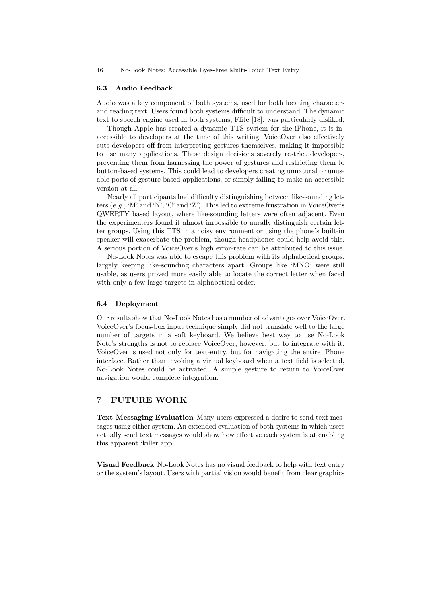#### 6.3 Audio Feedback

Audio was a key component of both systems, used for both locating characters and reading text. Users found both systems difficult to understand. The dynamic text to speech engine used in both systems, Flite [18], was particularly disliked.

Though Apple has created a dynamic TTS system for the iPhone, it is inaccessible to developers at the time of this writing. VoiceOver also effectively cuts developers off from interpreting gestures themselves, making it impossible to use many applications. These design decisions severely restrict developers, preventing them from harnessing the power of gestures and restricting them to button-based systems. This could lead to developers creating unnatural or unusable ports of gesture-based applications, or simply failing to make an accessible version at all.

Nearly all participants had difficulty distinguishing between like-sounding letters  $(e.g., 'M' and 'N', 'C' and 'Z').$  This led to extreme frustration in VoiceOver's QWERTY based layout, where like-sounding letters were often adjacent. Even the experimenters found it almost impossible to aurally distinguish certain letter groups. Using this TTS in a noisy environment or using the phone's built-in speaker will exacerbate the problem, though headphones could help avoid this. A serious portion of VoiceOver's high error-rate can be attributed to this issue.

No-Look Notes was able to escape this problem with its alphabetical groups, largely keeping like-sounding characters apart. Groups like 'MNO' were still usable, as users proved more easily able to locate the correct letter when faced with only a few large targets in alphabetical order.

#### 6.4 Deployment

Our results show that No-Look Notes has a number of advantages over VoiceOver. VoiceOver's focus-box input technique simply did not translate well to the large number of targets in a soft keyboard. We believe best way to use No-Look Note's strengths is not to replace VoiceOver, however, but to integrate with it. VoiceOver is used not only for text-entry, but for navigating the entire iPhone interface. Rather than invoking a virtual keyboard when a text field is selected, No-Look Notes could be activated. A simple gesture to return to VoiceOver navigation would complete integration.

## 7 FUTURE WORK

Text-Messaging Evaluation Many users expressed a desire to send text messages using either system. An extended evaluation of both systems in which users actually send text messages would show how effective each system is at enabling this apparent 'killer app.'

Visual Feedback No-Look Notes has no visual feedback to help with text entry or the system's layout. Users with partial vision would benefit from clear graphics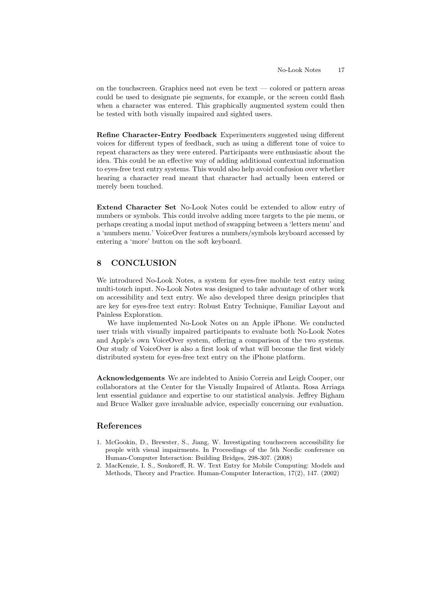on the touchscreen. Graphics need not even be text — colored or pattern areas could be used to designate pie segments, for example, or the screen could flash when a character was entered. This graphically augmented system could then be tested with both visually impaired and sighted users.

Refine Character-Entry Feedback Experimenters suggested using different voices for different types of feedback, such as using a different tone of voice to repeat characters as they were entered. Participants were enthusiastic about the idea. This could be an effective way of adding additional contextual information to eyes-free text entry systems. This would also help avoid confusion over whether hearing a character read meant that character had actually been entered or merely been touched.

Extend Character Set No-Look Notes could be extended to allow entry of numbers or symbols. This could involve adding more targets to the pie menu, or perhaps creating a modal input method of swapping between a 'letters menu' and a 'numbers menu.' VoiceOver features a numbers/symbols keyboard accessed by entering a 'more' button on the soft keyboard.

# 8 CONCLUSION

We introduced No-Look Notes, a system for eyes-free mobile text entry using multi-touch input. No-Look Notes was designed to take advantage of other work on accessibility and text entry. We also developed three design principles that are key for eyes-free text entry: Robust Entry Technique, Familiar Layout and Painless Exploration.

We have implemented No-Look Notes on an Apple iPhone. We conducted user trials with visually impaired participants to evaluate both No-Look Notes and Apple's own VoiceOver system, offering a comparison of the two systems. Our study of VoiceOver is also a first look of what will become the first widely distributed system for eyes-free text entry on the iPhone platform.

Acknowledgements We are indebted to Anisio Correia and Leigh Cooper, our collaborators at the Center for the Visually Impaired of Atlanta. Rosa Arriaga lent essential guidance and expertise to our statistical analysis. Jeffrey Bigham and Bruce Walker gave invaluable advice, especially concerning our evaluation.

# References

- 1. McGookin, D., Brewster, S., Jiang, W. Investigating touchscreen accessibility for people with visual impairments. In Proceedings of the 5th Nordic conference on Human-Computer Interaction: Building Bridges, 298-307. (2008)
- 2. MacKenzie, I. S., Soukoreff, R. W. Text Entry for Mobile Computing: Models and Methods, Theory and Practice. Human-Computer Interaction, 17(2), 147. (2002)